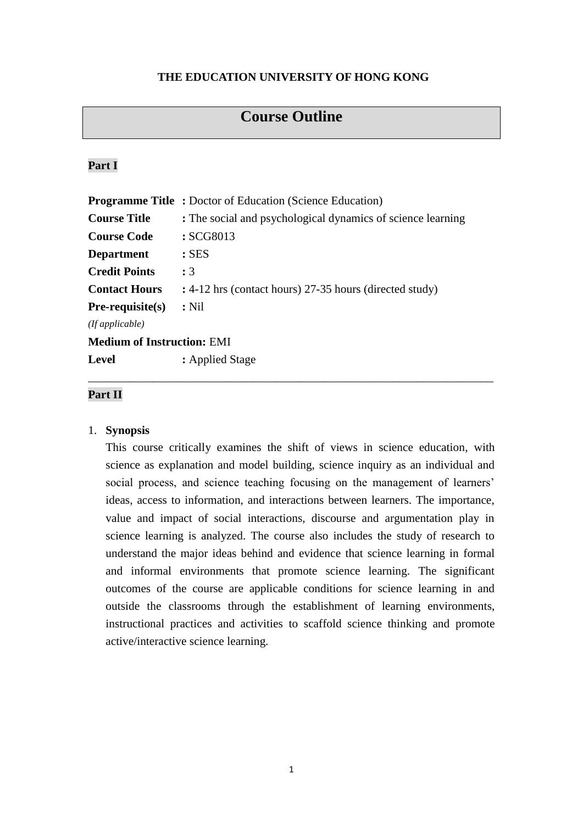#### **THE EDUCATION UNIVERSITY OF HONG KONG**

# **Course Outline**

#### **Part I**

|                                   | <b>Programme Title:</b> Doctor of Education (Science Education) |  |  |  |  |
|-----------------------------------|-----------------------------------------------------------------|--|--|--|--|
| <b>Course Title</b>               | : The social and psychological dynamics of science learning     |  |  |  |  |
| <b>Course Code</b>                | : SCG8013                                                       |  |  |  |  |
| <b>Department</b>                 | $:$ SES                                                         |  |  |  |  |
| <b>Credit Points</b>              | : 3                                                             |  |  |  |  |
| <b>Contact Hours</b>              | : 4-12 hrs (contact hours) 27-35 hours (directed study)         |  |  |  |  |
| $Pre-requisite(s)$                | $:$ Nil                                                         |  |  |  |  |
| (If applicable)                   |                                                                 |  |  |  |  |
| <b>Medium of Instruction: EMI</b> |                                                                 |  |  |  |  |
| <b>Level</b>                      | : Applied Stage                                                 |  |  |  |  |
|                                   |                                                                 |  |  |  |  |

#### **Part II**

#### 1. **Synopsis**

This course critically examines the shift of views in science education, with science as explanation and model building, science inquiry as an individual and social process, and science teaching focusing on the management of learners' ideas, access to information, and interactions between learners. The importance, value and impact of social interactions, discourse and argumentation play in science learning is analyzed. The course also includes the study of research to understand the major ideas behind and evidence that science learning in formal and informal environments that promote science learning. The significant outcomes of the course are applicable conditions for science learning in and outside the classrooms through the establishment of learning environments, instructional practices and activities to scaffold science thinking and promote active/interactive science learning.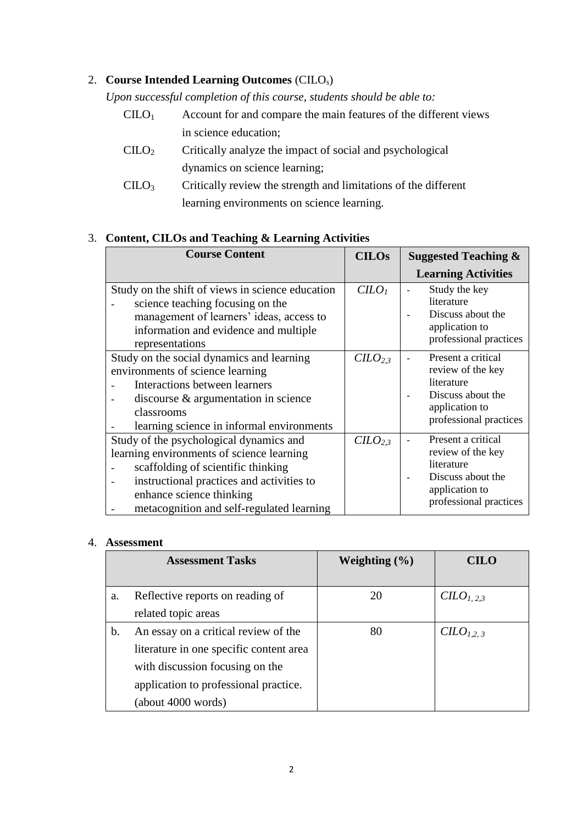## 2. **Course Intended Learning Outcomes** (CILOs)

*Upon successful completion of this course, students should be able to:*

- $C I L O<sub>1</sub>$  Account for and compare the main features of the different views in science education;
- CILO<sup>2</sup> Critically analyze the impact of social and psychological dynamics on science learning;
- $C I L O<sub>3</sub>$  Critically review the strength and limitations of the different learning environments on science learning.

### 3. **Content, CILOs and Teaching & Learning Activities**

| <b>Course Content</b>                                                                                                                                                                                                                            | <b>CILOs</b>                    | <b>Suggested Teaching &amp;</b>                                                                                        |
|--------------------------------------------------------------------------------------------------------------------------------------------------------------------------------------------------------------------------------------------------|---------------------------------|------------------------------------------------------------------------------------------------------------------------|
|                                                                                                                                                                                                                                                  |                                 | <b>Learning Activities</b>                                                                                             |
| Study on the shift of views in science education<br>science teaching focusing on the<br>management of learners' ideas, access to<br>information and evidence and multiple<br>representations                                                     | $C LO$                          | Study the key<br>literature<br>Discuss about the<br>application to<br>professional practices                           |
| Study on the social dynamics and learning<br>environments of science learning<br>Interactions between learners<br>discourse & argumentation in science<br>classrooms<br>learning science in informal environments                                | C <sub>L</sub> O <sub>2,3</sub> | Present a critical<br>review of the key<br>literature<br>Discuss about the<br>application to<br>professional practices |
| Study of the psychological dynamics and<br>learning environments of science learning<br>scaffolding of scientific thinking<br>instructional practices and activities to<br>enhance science thinking<br>metacognition and self-regulated learning | C <sub>2.3</sub>                | Present a critical<br>review of the key<br>literature<br>Discuss about the<br>application to<br>professional practices |

#### 4. **Assessment**

| <b>Assessment Tasks</b> |                                         | Weighting $(\% )$ | CH O                              |
|-------------------------|-----------------------------------------|-------------------|-----------------------------------|
|                         |                                         |                   |                                   |
| a.                      | Reflective reports on reading of        | 20                | $CLO_{1,2,3}$                     |
|                         | related topic areas                     |                   |                                   |
| b.                      | An essay on a critical review of the    | 80                | C <sub>L</sub> O <sub>L,2,3</sub> |
|                         | literature in one specific content area |                   |                                   |
|                         | with discussion focusing on the         |                   |                                   |
|                         | application to professional practice.   |                   |                                   |
|                         | (about 4000 words)                      |                   |                                   |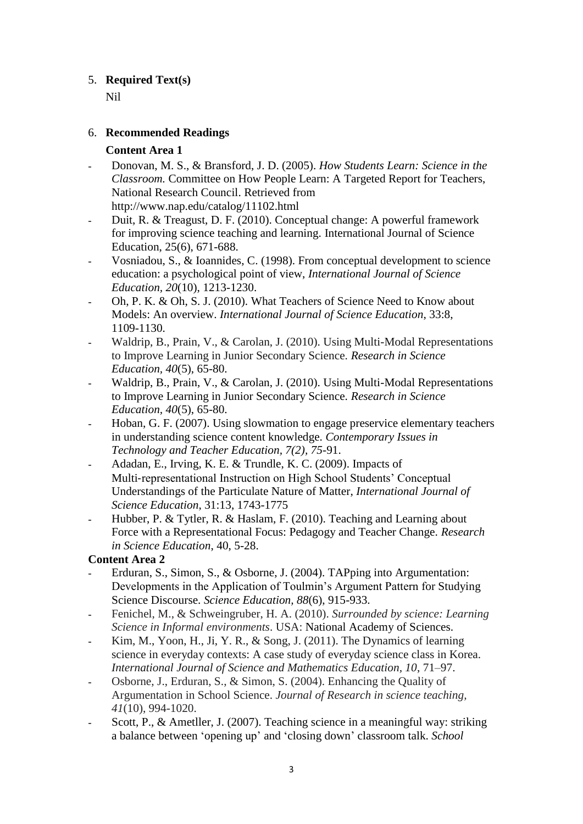## 5. **Required Text(s)**

Nil

## 6. **Recommended Readings**

## **Content Area 1**

- Donovan, M. S., & Bransford, J. D. (2005). *How Students Learn: Science in the Classroom.* Committee on How People Learn: A Targeted Report for Teachers, National Research Council. Retrieved from http://www.nap.edu/catalog/11102.html
- Duit, R. & Treagust, D. F. (2010). Conceptual change: A powerful framework for improving science teaching and learning. International Journal of Science Education, 25(6), 671-688.
- Vosniadou, S., & Ioannides, C. (1998). From conceptual development to science education: a psychological point of view, *International Journal of Science Education, 20*(10), 1213-1230.
- Oh, P. K. & Oh, S. J. (2010). What Teachers of Science Need to Know about Models: An overview. *International Journal of Science Education*, 33:8, 1109-1130.
- Waldrip, B., Prain, V., & Carolan, J. (2010). Using Multi-Modal Representations to Improve Learning in Junior Secondary Science. *Research in Science Education, 40*(5), 65-80.
- Waldrip, B., Prain, V., & Carolan, J. (2010). Using Multi-Modal Representations to Improve Learning in Junior Secondary Science. *Research in Science Education, 40*(5), 65-80.
- Hoban, G. F. (2007). Using slowmation to engage preservice elementary teachers in understanding science content knowledge. *Contemporary Issues in Technology and Teacher Education, 7(2), 75-*91.
- Adadan, E., Irving, K. E. & Trundle, K. C. (2009). Impacts of Multi‐representational Instruction on High School Students' Conceptual Understandings of the Particulate Nature of Matter, *International Journal of Science Education*, 31:13, 1743-1775
- Hubber, P. & Tytler, R. & Haslam, F. (2010). Teaching and Learning about Force with a Representational Focus: Pedagogy and Teacher Change. *Research in Science Education*, 40, 5-28.

### **Content Area 2**

- Erduran, S., Simon, S., & Osborne, J. (2004). TAPping into Argumentation: Developments in the Application of Toulmin's Argument Pattern for Studying Science Discourse. *Science Education, 88*(6), 915-933.
- Fenichel, M., & Schweingruber, H. A. (2010). *Surrounded by science: Learning Science in Informal environments*. USA: National Academy of Sciences.
- Kim, M., Yoon, H., Ji, Y. R., & Song, J. (2011). The Dynamics of learning science in everyday contexts: A case study of everyday science class in Korea. *International Journal of Science and Mathematics Education, 10*, 71–97.
- Osborne, J., Erduran, S., & Simon, S. (2004). Enhancing the Quality of Argumentation in School Science. *Journal of Research in science teaching, 41*(10), 994-1020.
- Scott, P., & Ametller, J. (2007). Teaching science in a meaningful way: striking a balance between 'opening up' and 'closing down' classroom talk. *School*